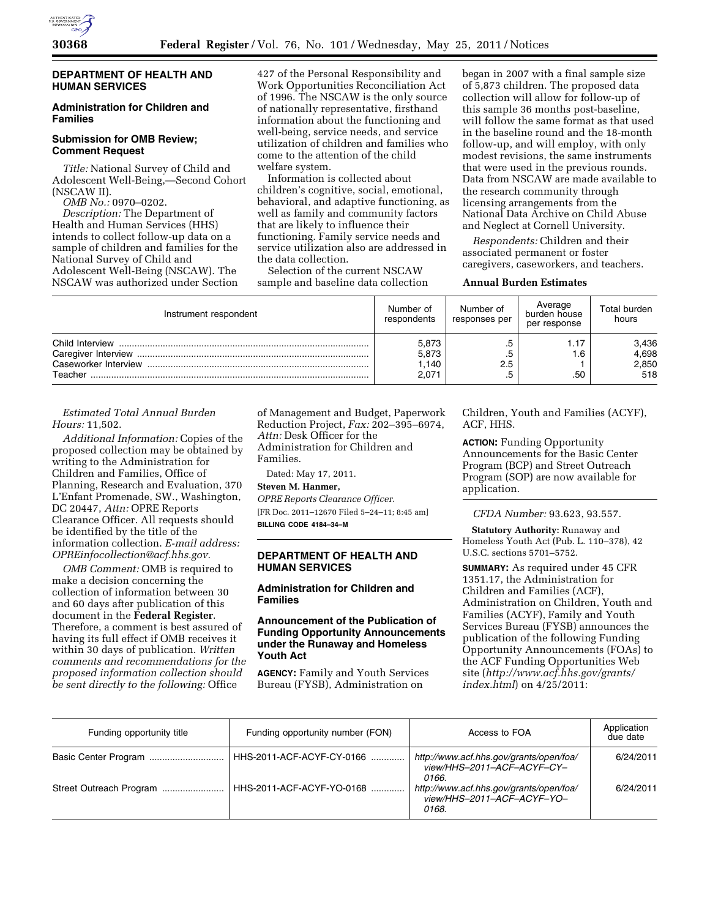

## **DEPARTMENT OF HEALTH AND HUMAN SERVICES**

## **Administration for Children and Families**

## **Submission for OMB Review; Comment Request**

*Title:* National Survey of Child and Adolescent Well-Being,—Second Cohort (NSCAW II).

*OMB No.:* 0970–0202.

*Description:* The Department of Health and Human Services (HHS) intends to collect follow-up data on a sample of children and families for the National Survey of Child and Adolescent Well-Being (NSCAW). The NSCAW was authorized under Section 427 of the Personal Responsibility and Work Opportunities Reconciliation Act of 1996. The NSCAW is the only source of nationally representative, firsthand information about the functioning and well-being, service needs, and service utilization of children and families who come to the attention of the child welfare system.

Information is collected about children's cognitive, social, emotional, behavioral, and adaptive functioning, as well as family and community factors that are likely to influence their functioning. Family service needs and service utilization also are addressed in the data collection.

Selection of the current NSCAW sample and baseline data collection began in 2007 with a final sample size of 5,873 children. The proposed data collection will allow for follow-up of this sample 36 months post-baseline, will follow the same format as that used in the baseline round and the 18-month follow-up, and will employ, with only modest revisions, the same instruments that were used in the previous rounds. Data from NSCAW are made available to the research community through licensing arrangements from the National Data Archive on Child Abuse and Neglect at Cornell University.

*Respondents:* Children and their associated permanent or foster caregivers, caseworkers, and teachers.

#### **Annual Burden Estimates**

| Instrument respondent                              | Number of<br>respondents         | Number of<br>responses per | Average<br>burden house<br>per response | Total burden<br>hours          |
|----------------------------------------------------|----------------------------------|----------------------------|-----------------------------------------|--------------------------------|
| Child Interview<br>Caseworker Interview<br>Teacher | 5,873<br>5,873<br>1.140<br>2,071 | .5<br>.b<br>2.5<br>.5      | . 6<br>.50                              | 3,436<br>4,698<br>2,850<br>518 |

*Estimated Total Annual Burden Hours:* 11,502.

*Additional Information:* Copies of the proposed collection may be obtained by writing to the Administration for Children and Families, Office of Planning, Research and Evaluation, 370 L'Enfant Promenade, SW., Washington, DC 20447, *Attn:* OPRE Reports Clearance Officer. All requests should be identified by the title of the information collection. *E-mail address: [OPREinfocollection@acf.hhs.gov.](mailto:OPREinfocollection@acf.hhs.gov)* 

*OMB Comment:* OMB is required to make a decision concerning the collection of information between 30 and 60 days after publication of this document in the **Federal Register**. Therefore, a comment is best assured of having its full effect if OMB receives it within 30 days of publication. *Written comments and recommendations for the proposed information collection should be sent directly to the following:* Office

of Management and Budget, Paperwork Reduction Project, *Fax:* 202–395–6974, *Attn:* Desk Officer for the Administration for Children and Families.

Dated: May 17, 2011.

**Steven M. Hanmer,** 

*OPRE Reports Clearance Officer.*  [FR Doc. 2011–12670 Filed 5–24–11; 8:45 am] **BILLING CODE 4184–34–M** 

# **DEPARTMENT OF HEALTH AND HUMAN SERVICES**

# **Administration for Children and Families**

## **Announcement of the Publication of Funding Opportunity Announcements under the Runaway and Homeless Youth Act**

**AGENCY:** Family and Youth Services Bureau (FYSB), Administration on

Children, Youth and Families (ACYF), ACF, HHS.

**ACTION:** Funding Opportunity Announcements for the Basic Center Program (BCP) and Street Outreach Program (SOP) are now available for application.

*CFDA Number:* 93.623, 93.557.

**Statutory Authority:** Runaway and Homeless Youth Act (Pub. L. 110–378), 42 U.S.C. sections 5701–5752.

**SUMMARY:** As required under 45 CFR 1351.17, the Administration for Children and Families (ACF), Administration on Children, Youth and Families (ACYF), Family and Youth Services Bureau (FYSB) announces the publication of the following Funding Opportunity Announcements (FOAs) to the ACF Funding Opportunities Web site (*[http://www.acf.hhs.gov/grants/](http://www.acf.hhs.gov/grants/index.html)  [index.html](http://www.acf.hhs.gov/grants/index.html)*) on 4/25/2011:

| Funding opportunity title | Funding opportunity number (FON) | Access to FOA                                                                  | Application<br>due date |
|---------------------------|----------------------------------|--------------------------------------------------------------------------------|-------------------------|
|                           | HHS-2011-ACF-ACYF-CY-0166        | http://www.acf.hhs.gov/grants/open/foa/<br>view/HHS-2011-ACF-ACYF-CY-<br>0166. | 6/24/2011               |
| Street Outreach Program   | HHS-2011-ACF-ACYF-YO-0168        | http://www.acf.hhs.gov/grants/open/foa/<br>view/HHS-2011-ACF-ACYF-YO-<br>0168. | 6/24/2011               |